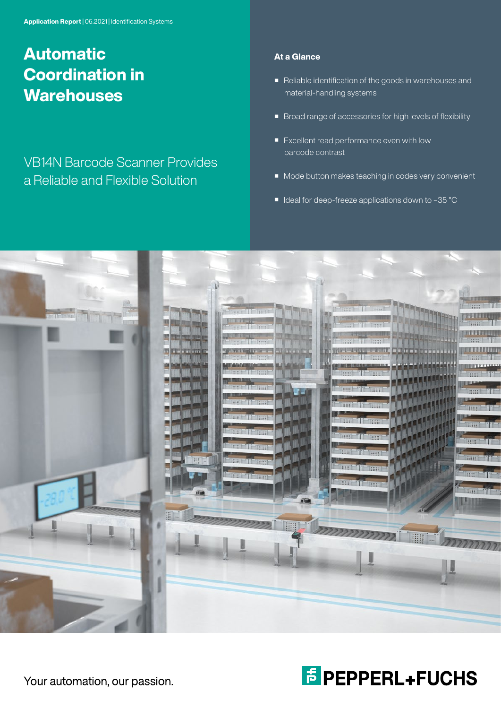# Automatic Coordination in **Warehouses**

# VB14N Barcode Scanner Provides a Reliable and Flexible Solution

## At a Glance

- Reliable identification of the goods in warehouses and material-handling systems
- Broad range of accessories for high levels of flexibility
- Excellent read performance even with low barcode contrast
- Mode button makes teaching in codes very convenient
- Ideal for deep-freeze applications down to -35 °C

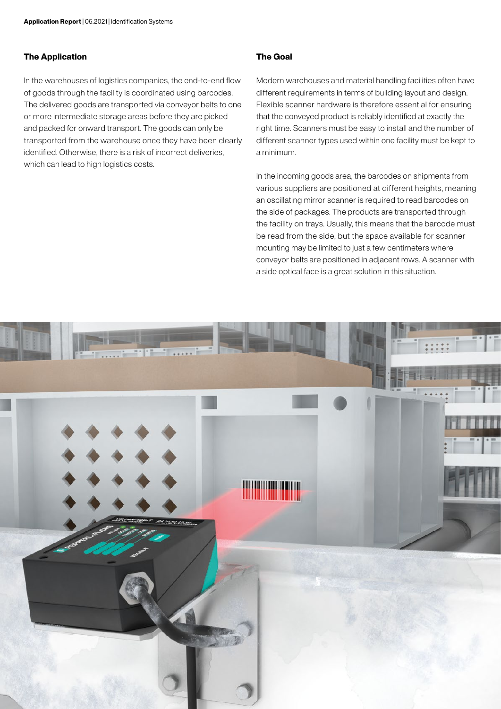#### The Application

In the warehouses of logistics companies, the end-to-end flow of goods through the facility is coordinated using barcodes. The delivered goods are transported via conveyor belts to one or more intermediate storage areas before they are picked and packed for onward transport. The goods can only be transported from the warehouse once they have been clearly identified. Otherwise, there is a risk of incorrect deliveries, which can lead to high logistics costs.

### The Goal

Modern warehouses and material handling facilities often have different requirements in terms of building layout and design. Flexible scanner hardware is therefore essential for ensuring that the conveyed product is reliably identified at exactly the right time. Scanners must be easy to install and the number of different scanner types used within one facility must be kept to a minimum.

In the incoming goods area, the barcodes on shipments from various suppliers are positioned at different heights, meaning an oscillating mirror scanner is required to read barcodes on the side of packages. The products are transported through the facility on trays. Usually, this means that the barcode must be read from the side, but the space available for scanner mounting may be limited to just a few centimeters where conveyor belts are positioned in adjacent rows. A scanner with a side optical face is a great solution in this situation.